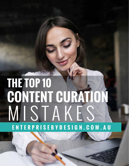# STAK **ENTERPRISEBYDESIGN.COM.AU THE TOP 10 CONTENT CURATION**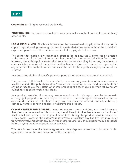

**Copyright ©** All rights reserved worldwide.

**YOUR RIGHTS:** This book is restricted to your personal use only. It does not come with any other rights.

**LEGAL DISCLAIMER:** This book is protected by international copyright law & may not be copied, reproduced, given away, or used to create derivative works without the publisher's expressed permission. The publisher retains full copyrights to this book.

The author has made every reasonable effort to be as accurate & complete as possible in the creation of this book & to ensure that the information provided is free from errors; however, the author/publisher/reseller assumes no responsibility for errors, omissions, or contrary interpretation of the subject matter herein & does not warrant or represent at any time that the contents within are accurate due to the rapidly changing nature of the Internet.

Any perceived slights of specific persons, peoples, or organizations are unintentional.

The purpose of this book is to educate & there are no guarantees of income, sales or results implied. The publisher/author/reseller can therefore not be held accountable for any poor results you may attain when implementing the techniques or when following any guidelines set out for you in this book.

Any product, website, & company names mentioned in this report are the trademarks or copyright properties of their respective owners. The author/publisher/reseller are not associated or affiliated with them in any way. Nor does the referred product, website, & company names sponsor, endorse, or approve this product.

**COMPENSATION DISCLOSURE:** Unless otherwise expressly stated, you should assume that the links contained in this book may be affiliate links & either the author/publisher/ reseller will earn commission if you click on them & buy the product/service mentioned in this book. However, the author/publisher/reseller disclaim any liability that may result from your involvement with any such websites/products. You should perform due diligence before buying mentioned products or services.

This constitutes the entire license agreement. Any disputes or terms not discussed in this agreement are at the sole discretion of the publisher.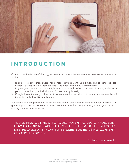

### **INTRODUCTION**

Content curation is one of the biggest trends in content development, & there are several reasons for that.

- 1. It takes less time than traditional content development. You simply link to other people's content, perhaps with a short excerpt, & add your own unique commentary.
- 2. It gives you content ideas you might not have thought of on your own. Browsing websites in your niche will let you find all sorts of ideas quickly & easily.
- 3. Google loves it when you link out to other sites. It's not all about backlinks, anymore. Now it benefits you to link TO quality sites.

But there are a few pitfalls you might fall into when using content curation on your website. This guide is going to discuss some of those common mistakes people make, & how you can avoid making them on your own site.

YOU'LL FIND OUT HOW TO AVOID POTENTIAL LEGAL PROBLEMS, HOW TO AVOID MISTAKES THAT MIGHT UPSET GOOGLE & GET YOUR SITE PENALIZED, & HOW TO BE SURE YOU'RE USING CONTENT CURATION PROPERLY.

So let's get started!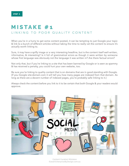### **M I S T A K E # 1**  LINKING TO POOR QUALITY CONTENT

When you're in a hurry to get some content posted, it can be tempting to just Google your topic & link to a bunch of different articles without taking the time to really vet the content to ensure it's actually worth linking to.

Sure, it may have a spiffy image or a very interesting headline, but is the content itself well-written, informative, & interesting? Is it full of grammatical errors as though it were written by someone whose first language was obviously not the language it was written in? Are there factual errors?

Not only that, but if you're linking to a site that has been banned by Google or is seen as spammy & has received a penalty, you could hurt your own website, too.

Be sure you're linking to quality content that is on domains that are in good standing with Google. (If you Google site:domain.com it will tell you how many pages are indexed from that domain. As long as there are a decent number of indexed pages, you're probably safe linking to it.)

Always check the content before you link to it to be certain that both Google & your readers would approve.



Content Curation Mistakes ©2018 EnterpriseByDesign.com.au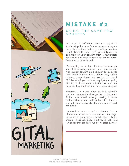

# **MISTAKE #2**

#### USING THE SAME FEW SOURCES

One trap a lot of webmasters & bloggers fall into is using the same few websites on a regular basis, thus limiting their scope as far as content & SEO benefits. Sure, you'll probably want to pull most of your content from a few trusted sources, but it's important to seek other sources from time to time, as well.

It's tempting to fall into this trap because you know the sources you're using are posting only high quality content on a regular basis, & you trust those sources. But if you're only linking to those same places, you won't get as much SEO benefit & your visitors may just start going directly to those sources instead of your site because they see the same ones again & again.

Pinterest is a great place to find potential content, because it's all organized by keywords & it's represented visually, making it faster to find what you're looking for. Plus, there is content from thousands of sites in pretty much any niche.

Facebook is another perfect place to locate different sources. Just locate a few fan pages or groups in your niche & watch what is being shared. This is especially true if you're looking at fan pages that are NOT run by website owners.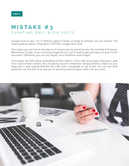### **M I S T A K E # 3**  CURATING ONLY BLOG POSTS

Google loves to see a lot of different types of media on blogs & websites, not just articles. This means posting videos, infographics, PDF files, images, & so forth.

This means you can find an abundance of content just by searching sites like YouTube & Pinterest. (Remember, though, if you're posting images & such, you'll need to get permission to post the full document. Otherwise, you can only legally use a thumbnail sized image.)

Fortunately, YouTube allows embedding of their videos. In fact, they encourage it because it gets more views of their content, thus increasing value for advertisers. Simply embed a video into your blog post or web page & describe the video with a paragraph or two of text. You can also work keywords into this text to be sure you're attracting search engine traffic with your post.

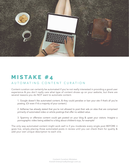

### **M I S T A K E # 4**  AUTOMATING CONTENT CURATION

Content curation can certainly be automated if you're not really interested in providing a good user experience & you don't really care what type of content shows up on your website, but there are several reasons you do NOT want to automate content.

1. Google doesn't like automated content, & they could penalize or ban your site if that's all you're posting. (Or even if it's a majority of your content.)

2. AdSense has already stated that you're not allowed to post their ads on sites that are comprised primarily of automated video or article postings that offer no added value.

3. Spammy or offensive content could get posted on your blog & upset your visitors. Imagine a pornographic video being added to a blog about children's toys, for example!

The only way automated content might work well is if you moderate every single post BEFORE it goes live, simply placing those automated posts in review until you can check them for quality & add your own unique description to each one.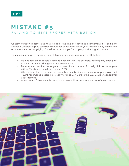### **M I S T A K E # 5**  FAILING TO GIVE PROPER ATTRIBUTION

Content curation is something that straddles the line of copyright infringement if it isn't done correctly. Considering you could face thousands of dollars in fines if you are found guilty of infringing on someone else's copyright, it's vital to be certain you're properly attributing all content.

Here are some ways to be sure you're following best practices as far as attribution:

- Do not post other people's content in its entirety. Use excerpts, posting only small parts of their content & adding your own commentary.
- Be sure you mention the original source of the content, & ideally link to the original article. This is also beneficial for your SEO.
- When using photos, be sure you use only a thumbnail unless you ask for permission first. Thumbnail images (according to Kelly v. Arriba Soft Corp in the U.S. Court of Appeals) fall under fair use.
- Don't use no-follow on links. People deserve full link juice for your use of their content.

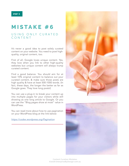### **MISTAKE #6**

#### USING ONLY CURATED CONTENT

It's never a good idea to post solely curated content on your website. You need to post highquality, original content, too.

First of all, Google loves unique content. Yes, they love when you link to other high-quality websites but unique content will always trump curated content.

Find a good balance. You should aim for at least 10% original content to balance out your curated content, & make sure those posts are high quality & have at least 500-1000 words. (In fact, these days, the longer the better as far as Google goes. They love long posts!)

You can use a plug-in to break your content up into multiple pages for your visitors while still showing as one long article to Google. Or you can use the "Blog pages show at most" value in WordPress.

You can read more about how to use pagination on your WordPress blog at the link below:

*https://codex.wordpress.org/Pagination*



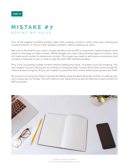### **M I S T A K E # 7**  ADDING NO VALUE

One of the biggest mistakes people make with curating content is when they post nothing but curated content, or links to other people's content, without adding any value.

Not only is this bad for your users, it's also terrible as far as SEO is concerned. Search engines need words on the page to index content. While Google can index videos & other types of content, they still need some content to determine context. This means you need to add some commentary that contains a keyword to two in order to get the best SEO benefit possible.

Plus, if you're posting curated content without adding any value, it's pretty much just scraping. You can't expect to post nothing but an excerpt of someone else's content & for that to be enough for visitors & search engines, & you can't expect to post their full content without being seen as a thief.

Be sure you're using only links or excerpt & adding value by describing the content or adding your own unique spin on things. This will improve user experience as well as offering unique content for SEO purposes.

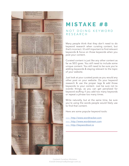

# **MISTAKE #8**

#### NOT DOING KEYWORD RESEARCH

Many people think that they don't need to do keyword research when curating content, but that's incorrect. It's still important to find relevant keywords & focus on those keywords when you post your content.

Curated content is just like any other content as far as SEO goes. You still need to include some unique content. You still need to be sure you're adding keywords & staying relevant to the topic of your website.

Just look at your curated posts as you would any other post on your website. Do your keyword research & use the proper tags & add those keywords to your content. Just be sure not to overdo things, as you can get penalized for keyword stuffing if you add too many keywords or repeat a phrase too many times.

Write naturally, but at the same time, be sure you're using the words people would likely use to find that content.

Here are some popular keyword tools:

>>> http://www.wordtracker.com >>> http://www.wordstream.com >>> http://keywordtool.io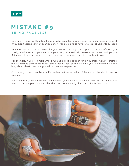### **M I S T A K E # 9**  BEING FACELESS

Let's face it; there are literally millions of websites online in pretty much any niche you can think of. If you aren't setting yourself apart somehow, you are going to have to work a lot harder to succeed.

It's important to create a persona for your website or blog so that people can identify with you. Ideally, you'll want that persona to be your own, because it will be easier to connect with people. But you could use a pen name, if necessary, to get your audience to identify with you.

For example, if you're a male who is running a blog about knitting, you might want to create a female persona since most of your traffic would likely be female. Or if you're a woman running a blog about classic cars, it might help to use a male persona.

Of course, you could just be you. Remember that males do knit, & females do like classic cars, for example.

But either way, you need to create someone for your audience to connect with. This is the best way to make sure people comment, like, share, etc. & ultimately, that's great for SEO & traffic.

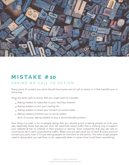

## **M I S T A K E # 10**

#### HAVING NO CALL TO ACTION

Every piece of content you write should have some sort of call to action in it that benefits you in some way.

Here are some calls to action that you might want to consider:

- Asking readers to subscribe to your YouTube channel
- Asking readers to join your mailing list
- Asking readers to share your content on social media
- Asking readers to follow you on social media

And, of course, asking readers to buy a recommended product

One thing I've seen a lot of people doing that you should avoid is asking people to click your ads, especially those that pay per click. No advertiser wants traffic that is clicking only to support your website & has no interest in their product or service. Even companies that pay per sale or commission don't want unproductive traffic. Make sure you get value out of each & every piece of content you post, even if it's just asking people to comment on the article. You want to get people used to doing what you ask them to do, especially when it comes time to sell them something!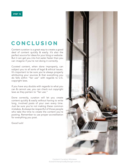### **CONCLUSION**

Content curation is a great way to create a good deal of content quickly & easily. It's also the perfect source for ideas for your blog or website. But it can get you into hot water faster than you can imagine if you're not doing it correctly.

Curated content, when done improperly, can subject you to all sorts of legal & ethical issues. It's important to be sure you're always properly attributing your sources & that everything you do falls within "fair use" with regards to U.S. copyright laws.

If you have any doubts with regards to what you can & cannot use, you can check out copyright laws as they pertain to "fair use."

Done correctly, curation will let you create content quickly & easily without having to write long, involved posts of your own every time. Just be sure you're not making these common mistakes, & always be respectful of those people who take the time to create the content you're posting. Remember to use proper accreditation for everything you post.

Good luck!

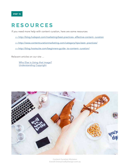

## **RESOURCES**

If you need more help with content curation, here are some resources:

>> http://blog.hubspot.com/marketing/best-practices- effective-content- curation

>> http://www.contentcurationmarketing.com/category/tips-best- practices/

>> http://blog.hootsuite.com/beginners-guide- to-content- curation/

Relavant articles on our site ...

Who Else is Using that image? Understanding Copyright